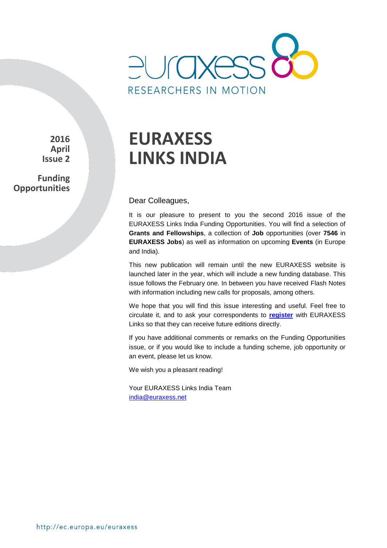

**2016 April Issue 2**

**Funding Opportunities**

# **EURAXESS LINKS INDIA**

Dear Colleagues,

It is our pleasure to present to you the second 2016 issue of the EURAXESS Links India Funding Opportunities. You will find a selection of **Grants and Fellowships**, a collection of **Job** opportunities (over **7546** in **EURAXESS Jobs**) as well as information on upcoming **Events** (in Europe and India).

This new publication will remain until the new EURAXESS website is launched later in the year, which will include a new funding database. This issue follows the February one. In between you have received Flash Notes with information including new calls for proposals, among others.

We hope that you will find this issue interesting and useful. Feel free to circulate it, and to ask your correspondents to **[register](http://europa.eu/sinapse/directaccess/euraxess-links-india/join)** with EURAXESS Links so that they can receive future editions directly.

If you have additional comments or remarks on the Funding Opportunities issue, or if you would like to include a funding scheme, job opportunity or an event, please let us know.

We wish you a pleasant reading!

Your EURAXESS Links India Team india@euraxess.net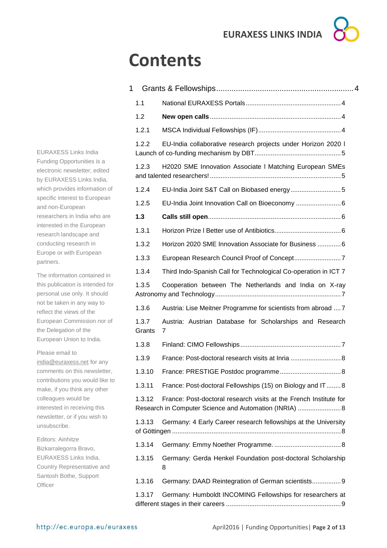# **Contents**

| 1               |                                                                                                                             |
|-----------------|-----------------------------------------------------------------------------------------------------------------------------|
| 1.1             |                                                                                                                             |
| 1.2             |                                                                                                                             |
| 1.2.1           |                                                                                                                             |
| 1.2.2           | EU-India collaborative research projects under Horizon 2020 I                                                               |
| 1.2.3           | H2020 SME Innovation Associate I Matching European SMEs                                                                     |
| 1.2.4           |                                                                                                                             |
| 1.2.5           | EU-India Joint Innovation Call on Bioeconomy  6                                                                             |
| 1.3             |                                                                                                                             |
| 1.3.1           |                                                                                                                             |
| 1.3.2           | Horizon 2020 SME Innovation Associate for Business  6                                                                       |
| 1.3.3           |                                                                                                                             |
| 1.3.4           | Third Indo-Spanish Call for Technological Co-operation in ICT 7                                                             |
| 1.3.5           | Cooperation between The Netherlands and India on X-ray                                                                      |
| 1.3.6           | Austria: Lise Meitner Programme for scientists from abroad  7                                                               |
| 1.3.7<br>Grants | Austria: Austrian Database for Scholarships and Research<br>7                                                               |
| 1.3.8           |                                                                                                                             |
| 1.3.9           | France: Post-doctoral research visits at Inria  8                                                                           |
|                 | 1.3.10 France: PRESTIGE Postdoc programme<br>.8                                                                             |
| 1.3.11          | France: Post-doctoral Fellowships (15) on Biology and IT8                                                                   |
| 1.3.12          | France: Post-doctoral research visits at the French Institute for<br>Research in Computer Science and Automation (INRIA)  8 |
| 1.3.13          | Germany: 4 Early Career research fellowships at the University                                                              |
| 1.3.14          |                                                                                                                             |
| 1.3.15          | Germany: Gerda Henkel Foundation post-doctoral Scholarship<br>8                                                             |
| 1.3.16          | Germany: DAAD Reintegration of German scientists 9                                                                          |
| 1.3.17          | Germany: Humboldt INCOMING Fellowships for researchers at                                                                   |

EURAXESS Links India Funding Opportunities is a electronic newsletter, edited by EURAXESS Links India, which provides information of specific interest to European and non-European researchers in India who are interested in the European research landscape and conducting research in Europe or with European partners.

The information contained in this publication is intended for personal use only. It should not be taken in any way to reflect the views of the European Commission nor of the Delegation of the European Union to India.

Please email to

[india@euraxess.net](mailto:india@euraxess.net) for any comments on this newsletter, contributions you would like to make, if you think any other colleagues would be interested in receiving this newsletter, or if you wish to unsubscribe.

Editors: Ainhitze Bizkarralegorra Bravo, EURAXESS Links India, Country Representative and Santosh Bothe, Support **Officer**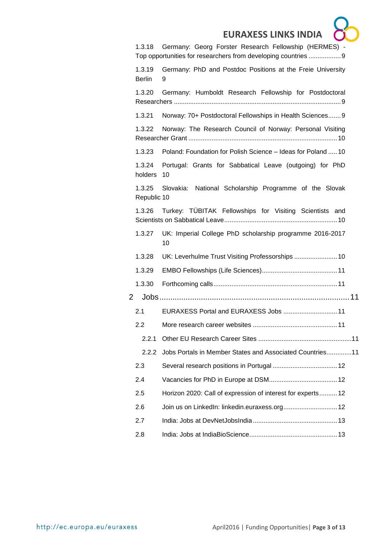|   |                         | <b>EURAXESS LINKS INDIA</b>                                     |
|---|-------------------------|-----------------------------------------------------------------|
|   | 1.3.18                  | Germany: Georg Forster Research Fellowship (HERMES) -           |
|   |                         | Top opportunities for researchers from developing countries  9  |
|   | 1.3.19<br><b>Berlin</b> | Germany: PhD and Postdoc Positions at the Freie University<br>9 |
|   | 1.3.20                  | Germany: Humboldt Research Fellowship for Postdoctoral          |
|   | 1.3.21                  | Norway: 70+ Postdoctoral Fellowships in Health Sciences 9       |
|   | 1.3.22                  | Norway: The Research Council of Norway: Personal Visiting       |
|   | 1.3.23                  | Poland: Foundation for Polish Science - Ideas for Poland 10     |
|   | 1.3.24<br>holders       | Portugal: Grants for Sabbatical Leave (outgoing) for PhD<br>10  |
|   | 1.3.25<br>Republic 10   | Slovakia: National Scholarship Programme of the Slovak          |
|   | 1.3.26                  | Turkey: TÜBITAK Fellowships for Visiting Scientists and         |
|   | 1.3.27                  | UK: Imperial College PhD scholarship programme 2016-2017<br>10  |
|   | 1.3.28                  | UK: Leverhulme Trust Visiting Professorships  10                |
|   | 1.3.29                  |                                                                 |
|   | 1.3.30                  |                                                                 |
| 2 |                         |                                                                 |
|   | 2.1                     | EURAXESS Portal and EURAXESS Jobs  11                           |
|   | 2.2                     |                                                                 |
|   | 2.2.1                   |                                                                 |
|   | 2.2.2                   | Jobs Portals in Member States and Associated Countries11        |
|   | 2.3                     |                                                                 |
|   | 2.4                     |                                                                 |
|   | 2.5                     | Horizon 2020: Call of expression of interest for experts 12     |
|   | 2.6                     | Join us on LinkedIn: linkedin.euraxess.org 12                   |
|   | 2.7                     |                                                                 |
|   | 2.8                     |                                                                 |
|   |                         |                                                                 |

 $\sqrt{2}$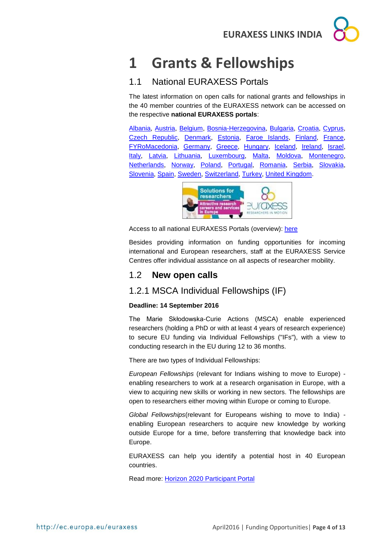## <span id="page-3-0"></span>**1 Grants & Fellowships**

## <span id="page-3-1"></span>1.1 National EURAXESS Portals

The latest information on open calls for national grants and fellowships in the 40 member countries of the EURAXESS network can be accessed on the respective **national EURAXESS portals**:

[Albania,](http://www.euraxess.al/) [Austria,](http://www.euraxess.at/home/) [Belgium,](http://ec.europa.eu/euraxess/np/belgium/index.htm) [Bosnia-Herzegovina,](http://www.euraxess.ba/index.php?sec=22) [Bulgaria,](http://www.euraxess.bg/) [Croatia,](http://www.euraxess.hr/sitegenius/index.php) [Cyprus,](http://www.euraxess.org.cy/) [Czech Republic,](http://www.euraxess.cz/) [Denmark,](http://euraxess.dk/) [Estonia,](http://euraxess.ee/) [Faroe Islands,](http://www.euraxess.fo/index.php?id=3) [Finland,](http://www.aka.fi/euraxess) [France,](http://www.euraxess.fr/en) [FYRoMacedonia,](http://www.euraxess.mk/home) [Germany,](http://www.euraxess.de/index.php) [Greece,](http://mobility.certh.gr/pls/rmp/mobility.main) [Hungary,](http://euraxess.hu/en) [Iceland,](http://www.euraxess.is/home/) [Ireland,](http://www.euraxess.ie/) [Israel,](http://www.euraxess.gov.il/UI/Main/Home.aspx) [Italy,](http://www.euraxess.it/) [Latvia,](http://euraxess.lv/) [Lithuania,](http://www.euraxess.lt/) [Luxembourg,](http://www.euraxess.lu/) [Malta,](http://www.euraxess.org.mt/) [Moldova,](http://www.euraxess.md/en) [Montenegro,](http://www.euraxess.me/sitegenius/index.php) [Netherlands,](http://www.euraxess.nl/) [Norway,](http://www.euraxess.no/servlet/Satellite?c=Page&pagename=euraxess%2FHovedsidemal&cid=1224067050882) [Poland,](http://www.euraxess.pl/) [Portugal,](http://www.euraxess.pt/) [Romania,](http://www.euraxess.gov.ro/indexEN.html) [Serbia,](http://www.euraxess.rs/sitegenius/index.php) [Slovakia,](http://www.euraxess.sk/en) [Slovenia,](http://www.euraxess.si/en/index.aspx) [Spain,](http://www.euraxess.es/eng) [Sweden,](http://www.euraxess.se/) [Switzerland,](http://www.euraxess.ch/) [Turkey,](http://euraxess.tubitak.gov.tr/euraxess/) [United Kingdom.](http://www.britishcouncil.org/new/euraxess/)



Access to all national EURAXESS Portals (overview): [here](http://ec.europa.eu/euraxess/index.cfm/jobs/nationalPortals)

Besides providing information on funding opportunities for incoming international and European researchers, staff at the EURAXESS Service Centres offer individual assistance on all aspects of researcher mobility.

## <span id="page-3-2"></span>1.2 **New open calls**

## <span id="page-3-3"></span>1.2.1 MSCA Individual Fellowships (IF)

#### **Deadline: 14 September 2016**

The Marie Skłodowska-Curie Actions (MSCA) enable experienced researchers (holding a PhD or with at least 4 years of research experience) to secure EU funding via Individual Fellowships ("IFs"), with a view to conducting research in the EU during 12 to 36 months.

There are two types of Individual Fellowships:

*European Fellowships* (relevant for Indians wishing to move to Europe) enabling researchers to work at a research organisation in Europe, with a view to acquiring new skills or working in new sectors. The fellowships are open to researchers either moving within Europe or coming to Europe.

*Global Fellowships*(relevant for Europeans wishing to move to India) enabling European researchers to acquire new knowledge by working outside Europe for a time, before transferring that knowledge back into Europe.

EURAXESS can help you identify a potential host in 40 European countries.

Read more: [Horizon 2020 Participant Portal](https://ec.europa.eu/research/participants/portal/desktop/en/opportunities/h2020/topics/2226-msca-if-2016.html)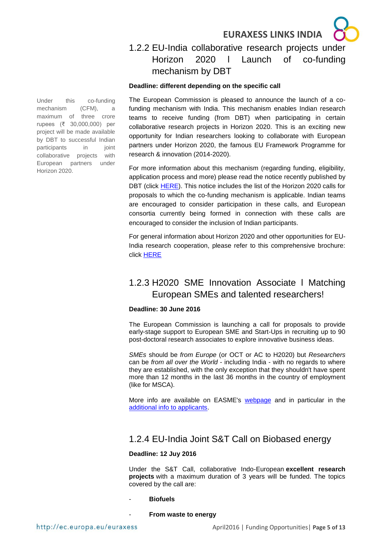## <span id="page-4-0"></span>1.2.2 EU-India collaborative research projects under Horizon 2020 l Launch of co-funding mechanism by DBT

#### **Deadline: different depending on the specific call**

Under this co-funding mechanism (CFM), a maximum of three crore rupees (₹ 30,000,000) per project will be made available by DBT to successful Indian participants in joint collaborative projects with European partners under Horizon 2020.

The European Commission is pleased to announce the launch of a cofunding mechanism with India. This mechanism enables Indian research teams to receive funding (from DBT) when participating in certain collaborative research projects in Horizon 2020. This is an exciting new opportunity for Indian researchers looking to collaborate with European partners under Horizon 2020, the famous EU Framework Programme for research & innovation (2014-2020).

For more information about this mechanism (regarding funding, eligibility, application process and more) please read the notice recently published by DBT (click [HERE\)](http://www.dbtindia.nic.in/wp-content/uploads/DBT-EUcallsunderH2020-.pdf). This notice includes the list of the Horizon 2020 calls for proposals to which the co-funding mechanism is applicable. Indian teams are encouraged to consider participation in these calls, and European consortia currently being formed in connection with these calls are encouraged to consider the inclusion of Indian participants.

For general information about Horizon 2020 and other opportunities for EU-India research cooperation, please refer to this comprehensive brochure: click [HERE](http://eeas.europa.eu/delegations/india/documents/h2020_brochure-india-aug_2014.pdf)

## <span id="page-4-1"></span>1.2.3 H2020 SME Innovation Associate l Matching European SMEs and talented researchers!

#### **Deadline: 30 June 2016**

The European Commission is launching a call for proposals to provide early-stage support to European SME and Start-Ups in recruiting up to 90 post-doctoral research associates to explore innovative business ideas.

*SMEs* should be *from Europe* (or OCT or AC to H2020) but *Researchers* can be *from all over the World* - including India - with no regards to where they are established, with the only exception that they shouldn't have spent more than 12 months in the last 36 months in the country of employment (like for MSCA).

More info are available on EASME's [webpage](https://ec.europa.eu/easme/en/h2020-sme-innovation-associate) and in particular in the [additional info to applicants.](https://ec.europa.eu/easme/sites/easme-site/files/h2020_sme_innovation_associate_presentation_final_1.pdf)

## <span id="page-4-2"></span>1.2.4 EU-India Joint S&T Call on Biobased energy

#### **Deadline: 12 Juy 2016**

Under the S&T Call, collaborative Indo-European **excellent research projects** with a maximum duration of 3 years will be funded. The topics covered by the call are:

#### - **Biofuels**

**From waste to energy**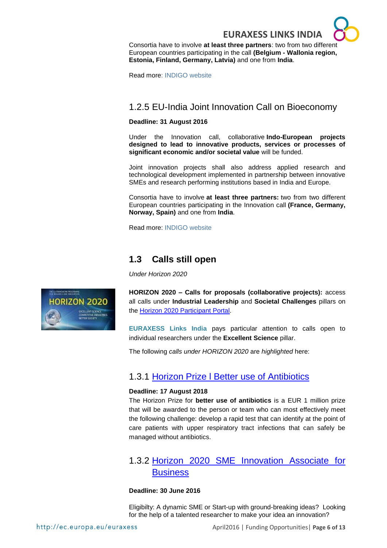

Consortia have to involve **at least three partners**: two from two different European countries participating in the call **(Belgium - Wallonia region, Estonia, Finland, Germany, Latvia)** and one from **India**.

Read more: [INDIGO website](https://indigoprojects.eu/funding/indigo-calls/s&t_call_2016)

## <span id="page-5-0"></span>1.2.5 EU-India Joint Innovation Call on Bioeconomy

#### **Deadline: 31 August 2016**

Under the Innovation call, collaborative **Indo-European projects designed to lead to innovative products, services or processes of significant economic and/or societal value** will be funded.

Joint innovation projects shall also address applied research and technological development implemented in partnership between innovative SMEs and research performing institutions based in India and Europe.

Consortia have to involve **at least three partners:** two from two different European countries participating in the Innovation call **(France, Germany, Norway, Spain)** and one from **India**.

Read more: [INDIGO website](https://indigoprojects.eu/funding/indigo-calls/innovation_call_2016)

## <span id="page-5-1"></span>**1.3 Calls still open**

*Under Horizon 2020*



**HORIZON 2020 – Calls for proposals (collaborative projects):** access all calls under **Industrial Leadership** and **Societal Challenges** pillars on the [Horizon 2020 Participant Portal.](http://ec.europa.eu/research/participants/portal/desktop/en/opportunities/h2020)

**EURAXESS Links India** pays particular attention to calls open to individual researchers under the **Excellent Science** pillar.

The following *calls under HORIZON 2020* are *highlighted* here:

## <span id="page-5-2"></span>1.3.1 [Horizon Prize l Better use of Antibiotics](http://ec.europa.eu/research/participants/portal/desktop/en/opportunities/h2020/topics/14060-hoa-01-2015.html#tab1)

#### **Deadline: 17 August 2018**

The Horizon Prize for **better use of antibiotics** is a EUR 1 million prize that will be awarded to the person or team who can most effectively meet the following challenge: develop a rapid test that can identify at the point of care patients with upper respiratory tract infections that can safely be managed without antibiotics.

## <span id="page-5-3"></span>1.3.2 [Horizon 2020 SME Innovation Associate for](https://ec.europa.eu/easme/en/horizon-2020-sme-innovation-associate-business)  **[Business](https://ec.europa.eu/easme/en/horizon-2020-sme-innovation-associate-business)**

#### **Deadline: 30 June 2016**

Eligibilty: A dynamic SME or Start-up with ground-breaking ideas? Looking for the help of a talented researcher to make your idea an innovation?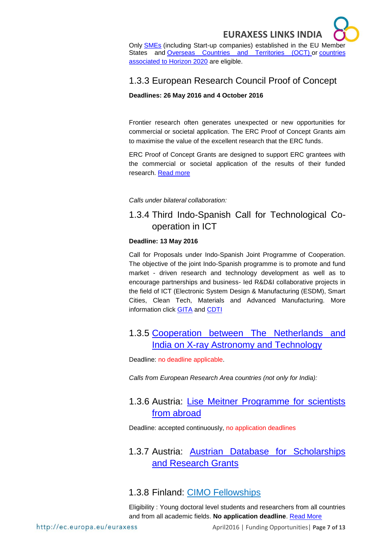

Only [SMEs](http://ec.europa.eu/growth/smes/business-friendly-environment/sme-definition/index_en.htm) (including Start-up companies) established in the EU Member States and [Overseas Countries and Territories \(OCT\)](http://ec.europa.eu/research/participants/data/ref/h2020/wp/2014_2015/annexes/h2020-wp1415-annex-a-countries-rules_en.pdf) or countries [associated to Horizon 2020](http://ec.europa.eu/research/bitlys/h2020_associated_countries.html) are eligible.

## <span id="page-6-0"></span>1.3.3 European Research Council Proof of Concept

#### **Deadlines: 26 May 2016 and 4 October 2016**

Frontier research often generates unexpected or new opportunities for commercial or societal application. The ERC Proof of Concept Grants aim to maximise the value of the excellent research that the ERC funds.

ERC Proof of Concept Grants are designed to support ERC grantees with the commercial or societal application of the results of their funded research. [Read more](http://ec.europa.eu/research/participants/portal/desktop/en/opportunities/h2020/topics/1116-erc-poc-2016.html)

#### *Calls under bilateral collaboration:*

## <span id="page-6-1"></span>1.3.4 Third Indo-Spanish Call for Technological Cooperation in ICT

#### **Deadline: 13 May 2016**

Call for Proposals under Indo-Spanish Joint Programme of Cooperation. The objective of the joint Indo-Spanish programme is to promote and fund market - driven research and technology development as well as to encourage partnerships and business- Ied R&D&I collaborative projects in the field of ICT (Electronic System Design & Manufacturing (ESDM), Smart Cities, Clean Tech, Materials and Advanced Manufacturing. More information click [GITA](http://gita.org.in/OnlineRfp/ProgramInfo.aspx?ProgramId=8) and [CDTI](http://www.cdti.es/index.asp?MP=9&MS=31&MN=2&TR=A&IDR=7&id=945)

## <span id="page-6-2"></span>1.3.5 [Cooperation between The Netherlands and](http://www.nwo.nl/en/funding/our-funding-instruments/ew/cooperation-india-x-ray-astronomy-and-technology/cooperation-india-x-ray-astronomy-and-technology.html)  [India on X-ray Astronomy and Technology](http://www.nwo.nl/en/funding/our-funding-instruments/ew/cooperation-india-x-ray-astronomy-and-technology/cooperation-india-x-ray-astronomy-and-technology.html)

Deadline: no deadline applicable.

*Calls from European Research Area countries (not only for India):* 

## <span id="page-6-3"></span>1.3.6 Austria: [Lise Meitner Programme for scientists](https://www.fwf.ac.at/en/research-funding/fwf-programmes/meitner-programme/)  [from abroad](https://www.fwf.ac.at/en/research-funding/fwf-programmes/meitner-programme/)

Deadline: accepted continuously, no application deadlines

## <span id="page-6-4"></span>1.3.7 Austria: [Austrian Database for Scholarships](http://www.grants.at/home/EN/)  [and Research Grants](http://www.grants.at/home/EN/)

## <span id="page-6-5"></span>1.3.8 Finland: [CIMO Fellowships](http://www.studyinfinland.fi/tuition_and_scholarships/cimo_scholarships/cimo_fellowships)

Eligibility : Young doctoral level students and researchers from all countries and from all academic fields. **No application deadline**. [Read More](http://www.studyinfinland.fi/tuition_and_scholarships/cimo_scholarships/cimo_fellowships)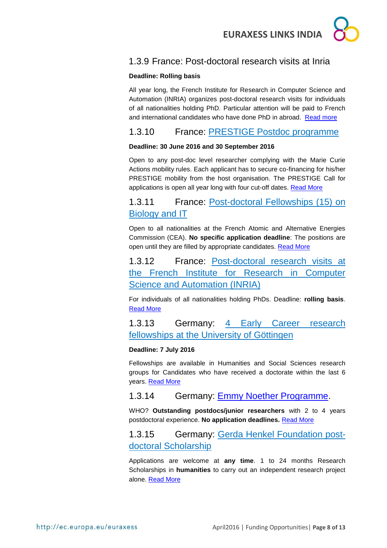

## <span id="page-7-0"></span>1.3.9 France: Post-doctoral research visits at Inria

#### **Deadline: Rolling basis**

All year long, the French Institute for Research in Computer Science and Automation (INRIA) organizes post-doctoral research visits for individuals of all nationalities holding PhD. Particular attention will be paid to French and international candidates who have done PhD in abroad. [Read more](http://www.inria.fr/institut/recrutement-metiers/offres/post-doctorat/sejours-post-doctoraux)

<span id="page-7-1"></span>1.3.10 France: [PRESTIGE Postdoc programme](http://www.campusfrance.org/en/prestige)

#### **Deadline: 30 June 2016 and 30 September 2016**

Open to any post-doc level researcher complying with the Marie Curie Actions mobility rules. Each applicant has to secure co-financing for his/her PRESTIGE mobility from the host organisation. The PRESTIGE Call for applications is open all year long with four cut-off dates. [Read More](http://www.campusfrance.org/en/prestige)

## <span id="page-7-2"></span>1.3.11 France: Post-doctoral Fellowships (15) on Biology and IT

Open to all nationalities at the French Atomic and Alternative Energies Commission (CEA). **No specific application deadline**: The positions are open until they are filled by appropriate candidates. [Read More](http://en.drt-cea.com/index.php/default/default/affichepage?sujet=Offre_DSV-DRT)

<span id="page-7-3"></span>1.3.12 France: [Post-doctoral research visits at](http://www.inria.fr/institut/recrutement-metiers/offres/post-doctorat/sejours-post-doctoraux)  [the French Institute for Research in Computer](http://www.inria.fr/institut/recrutement-metiers/offres/post-doctorat/sejours-post-doctoraux)  [Science and Automation \(INRIA\)](http://www.inria.fr/institut/recrutement-metiers/offres/post-doctorat/sejours-post-doctoraux)

For individuals of all nationalities holding PhDs. Deadline: **rolling basis**. [Read More](http://www.inria.fr/institut/recrutement-metiers/offres/post-doctorat/sejours-post-doctoraux)

<span id="page-7-4"></span>1.3.13 Germany: [4 Early Career research](http://www.uni-goettingen.de/en/501529.html)  [fellowships at the University of Göttingen](http://www.uni-goettingen.de/en/501529.html)

#### **Deadline: 7 July 2016**

Fellowships are available in Humanities and Social Sciences research groups for Candidates who have received a doctorate within the last 6 years. [Read More](http://www.uni-goettingen.de/en/501529.html)

## <span id="page-7-5"></span>1.3.14 Germany: [Emmy Noether Programme.](http://www.dfg.de/en/research_funding/programmes/individual/emmy_noether/index.html)

WHO? **Outstanding postdocs/junior researchers** with 2 to 4 years postdoctoral experience. **No application deadlines.** [Read More](http://www.dfg.de/en/research_funding/programmes/individual/emmy_noether/index.html)

## <span id="page-7-6"></span>1.3.15 Germany: [Gerda Henkel Foundation](https://www.daad.de/deutschland/stipendium/datenbank/en/21148-scholarship-database/?status=5&origin=9&subjectGrps=&daad=&q=&page=2&detail=10000130) postdoctoral Scholarship

Applications are welcome at **any time**. 1 to 24 months Research Scholarships in **humanities** to carry out an independent research project alone. [Read More](https://www.daad.de/deutschland/stipendium/datenbank/en/21148-scholarship-database/?status=5&origin=9&subjectGrps=&daad=&q=&page=2&detail=10000130)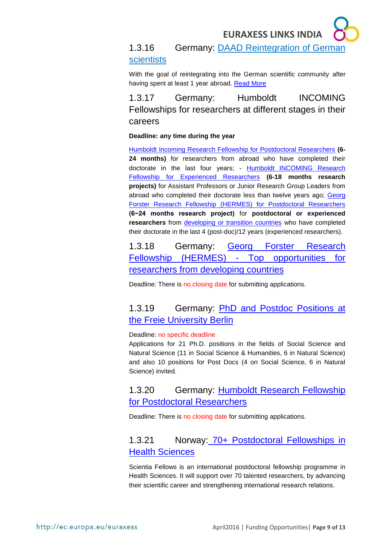## <span id="page-8-0"></span>1.3.16 Germany: [DAAD Reintegration of German](https://www.daad.de/ausland/studieren/stipendium/de/70-stipendien-finden-und-bewerben/?detailid=880&fachrichtung=6&land=48&status=3&seite=1)  [scientists](https://www.daad.de/ausland/studieren/stipendium/de/70-stipendien-finden-und-bewerben/?detailid=880&fachrichtung=6&land=48&status=3&seite=1)

With the goal of reintegrating into the German scientific community after having spent at least 1 year abroad. [Read More](https://www.daad.de/ausland/studieren/stipendium/de/70-stipendien-finden-und-bewerben/?detailid=880&fachrichtung=6&land=48&status=3&seite=1)

<span id="page-8-1"></span>1.3.17 Germany: Humboldt INCOMING Fellowships for researchers at different stages in their careers

#### **Deadline: any time during the year**

[Humboldt Incoming Research Fellowship for Postdoctoral Researchers](http://www.humboldt-foundation.de/web/humboldt-fellowship-postdoc.html) **(6- 24 months)** for researchers from abroad who have completed their doctorate in the last four years; - [Humboldt INCOMING Research](http://www.humboldt-foundation.de/web/humboldt-fellowship-experienced.html)  [Fellowship for Experienced Researchers](http://www.humboldt-foundation.de/web/humboldt-fellowship-experienced.html) **(6-18 months research projects)** for Assistant Professors or Junior Research Group Leaders from abroad who completed their doctorate less than twelve years ago; Georg [Forster Research Fellowship \(HERMES\) for Postdoctoral Researchers](http://www.humboldt-foundation.de/web/georg-forster-fellowship-hermes.html) **(6−24 months research project)** for **postdoctoral or experienced**  researchers from [developing or transition countries](http://www.humboldt-foundation.de/pls/web/docs/F15417/list_of_countries.pdf) who have completed their doctorate in the last 4 (post-doc)/12 years (experienced researchers).

<span id="page-8-2"></span>1.3.18 Germany: [Georg Forster Research](http://www.humboldt-foundation.de/web/georg-forster-fellowship-hermes.html)  [Fellowship \(HERMES\) -](http://www.humboldt-foundation.de/web/georg-forster-fellowship-hermes.html) Top opportunities for [researchers from developing countries](http://www.humboldt-foundation.de/web/georg-forster-fellowship-hermes.html)

Deadline: There is no closing date for submitting applications.

## <span id="page-8-3"></span>1.3.19 Germany: PhD and Postdoc Positions at [the Freie University Berlin](http://www.fu-berlin.de/en/sites/delhi/)

#### Deadline: no specific deadline

Applications for 21 Ph.D. positions in the fields of Social Science and Natural Science (11 in Social Science & Humanities, 6 in Natural Science) and also 10 positions for Post Docs (4 on Social Science, 6 in Natural Science) invited.

## <span id="page-8-4"></span>1.3.20 Germany: [Humboldt Research Fellowship](http://www.humboldt-foundation.de/web/humboldt-fellowship-postdoc.html)  [for Postdoctoral Researchers](http://www.humboldt-foundation.de/web/humboldt-fellowship-postdoc.html)

Deadline: There is no closing date for submitting applications.

## <span id="page-8-5"></span>1.3.21 Norway: 70+ [Postdoctoral Fellowships in](http://www.med.uio.no/english/research/scientia-fellows/)  [Health Sciences](http://www.med.uio.no/english/research/scientia-fellows/)

Scientia Fellows is an international postdoctoral fellowship programme in Health Sciences. It will support over 70 talented researchers, by advancing their scientific career and strengthening international research relations.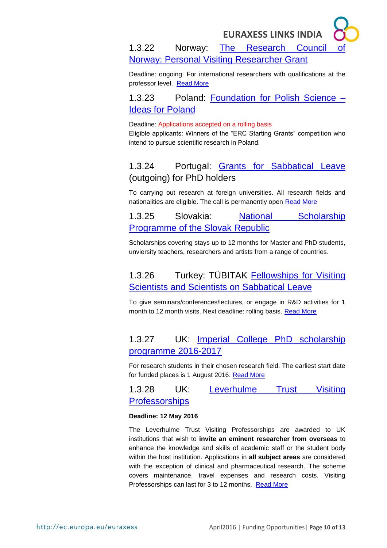<span id="page-9-0"></span>1.3.22 Norway: [The Research Council of](http://www.forskningsradet.no/en/FundingDetail/NANO2021/1253994844675?aktId=1253994832178&lang=en&progId=1253971755975&visAktive=true)  [Norway: Personal Visiting Researcher Grant](http://www.forskningsradet.no/en/FundingDetail/NANO2021/1253994844675?aktId=1253994832178&lang=en&progId=1253971755975&visAktive=true)

Deadline: ongoing. For international researchers with qualifications at the professor level. [Read More](http://www.forskningsradet.no/en/FundingDetail/NANO2021/1253994844675?aktId=1253994832178&lang=en&progId=1253971755975&visAktive=true)

<span id="page-9-1"></span>1.3.23 Poland: [Foundation for Polish Science –](http://www.fnp.org.pl/en/oferta/ideas-for-poland/) [Ideas for Poland](http://www.fnp.org.pl/en/oferta/ideas-for-poland/)

Deadline: Applications accepted on a rolling basis

Eligible applicants: Winners of the "ERC Starting Grants" competition who intend to pursue scientific research in Poland.

## <span id="page-9-2"></span>1.3.24 Portugal: [Grants for Sabbatical Leave](http://www.fct.pt/apoios/bolsas/concursos/bsab) (outgoing) for PhD holders

To carrying out research at foreign universities. All research fields and nationalities are eligible. The call is permanently open [Read More](http://www.fct.pt/apoios/bolsas/concursos/bsab)

<span id="page-9-3"></span>1.3.25 Slovakia: [National Scholarship](../../../../../../Downloads/:%20http:/www.scholarships.sk/en/main/programme-terms-and-conditions/foreign-applicants)  [Programme of the Slovak Republic](../../../../../../Downloads/:%20http:/www.scholarships.sk/en/main/programme-terms-and-conditions/foreign-applicants)

Scholarships covering stays up to 12 months for Master and PhD students, unviersity teachers, researchers and artists from a range of countries.

## <span id="page-9-4"></span>1.3.26 Turkey: TÜBITAK [Fellowships for Visiting](http://www.tubitak.gov.tr/en/scholarship/postdoctoral/international-programmes/content-2221-fellowships-for-visiting-scientists-and-scientists-on-sabbatical-leave)  [Scientists and Scientists on Sabbatical Leave](http://www.tubitak.gov.tr/en/scholarship/postdoctoral/international-programmes/content-2221-fellowships-for-visiting-scientists-and-scientists-on-sabbatical-leave)

To give seminars/conferences/lectures, or engage in R&D activities for 1 month to 12 month visits. Next deadline: rolling basis. [Read More](http://www.tubitak.gov.tr/en/scholarship/postdoctoral/international-programmes/content-2221-fellowships-for-visiting-scientists-and-scientists-on-sabbatical-leave)

## <span id="page-9-5"></span>1.3.27 UK: [Imperial College PhD scholarship](http://www.imperial.ac.uk/study/pg/fees-and-funding/scholarships/icphd/)  [programme 2016-2017](http://www.imperial.ac.uk/study/pg/fees-and-funding/scholarships/icphd/)

For research students in their chosen research field. The earliest start date for funded places is 1 August 2016. [Read More](http://www.imperial.ac.uk/study/pg/fees-and-funding/scholarships/icphd/)

<span id="page-9-6"></span>1.3.28 UK: [Leverhulme Trust Visiting](https://www.leverhulme.ac.uk/funding/grant-schemes/visiting-professorships)  [Professorships](https://www.leverhulme.ac.uk/funding/grant-schemes/visiting-professorships)

#### **Deadline: 12 May 2016**

The Leverhulme Trust Visiting Professorships are awarded to UK institutions that wish to **invite an eminent researcher from overseas** to enhance the knowledge and skills of academic staff or the student body within the host institution. Applications in **all subject areas** are considered with the exception of clinical and pharmaceutical research. The scheme covers maintenance, travel expenses and research costs. Visiting Professorships can last for 3 to 12 months. [Read More](https://www.leverhulme.ac.uk/funding/grant-schemes/visiting-professorships)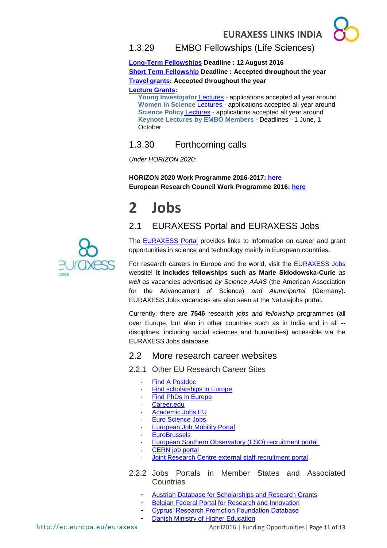<span id="page-10-0"></span>

**[Long-Term Fellowships](http://www.embo.org/funding-awards/fellowships/long-term-fellowships) Deadline : 12 August 2016 [Short Term Fellowship](http://www.embo.org/funding-awards/fellowships/short-term-fellowships) Deadline : Accepted throughout the year [Travel grants:](http://www.embo.org/funding-awards/travel-grants) Accepted throughout the year**

**[Lecture Grants:](http://www.embo.org/funding-awards/lecture-grants/lectures-young-investigator)**

**[Young Investigator](http://www.embo.org/funding-awards/lecture-grants/lectures-young-investigator)** Lectures - applications accepted all year around **[Women in Science](http://www.embo.org/funding-awards/lecture-grants/women-in-science)** Lectures - applications accepted all year around **[Science Policy](http://www.embo.org/funding-awards/lecture-grants/science-policy)** Lectures - applications accepted all year around **[Keynote Lectures by EMBO Members](http://www.embo.org/funding-awards/lecture-grants/keynote-lectures)** - Deadlines - 1 June, 1 **October** 

## <span id="page-10-1"></span>1.3.30 Forthcoming calls

*Under HORIZON 2020:*

**HORIZON 2020 Work Programme 2016-2017: [here](http://ec.europa.eu/programmes/horizon2020/en/news/horizon-2020-work-programme-2016-2017-published) European Research Council Work Programme 2016: [here](http://erc.europa.eu/sites/default/files/document/file/ERC_Work_Programme_2016.pdf)**

## <span id="page-10-2"></span>**2 Jobs**

## <span id="page-10-3"></span>2.1 EURAXESS Portal and EURAXESS Jobs



The [EURAXESS Portal](http://ec.europa.eu/euraxess/index.cfm/general/index) provides links to information on career and grant opportunities in science and technology mainly in European countries.

For research careers in Europe and the world, visit the [EURAXESS Jobs](http://ec.europa.eu/euraxess/index.cfm/jobs/jvSearch) website! **It includes fellowships such as Marie Skłodowska-Curie** *as well as* vacancies advertised *by Science AAAS* (the American Association for the Advancement of Science) *and Alumniportal* (Germany). EURAXESS Jobs vacancies are also seen at the Naturejobs portal.

Currently, there are **7546** research *jobs and fellowship* programmes (all over Europe, but also in other countries such as in India and in all - disciplines, including social sciences and humanities) accessible via the EURAXESS Jobs database.

## <span id="page-10-4"></span>2.2 More research career websites

#### <span id="page-10-5"></span>2.2.1 Other EU Research Career Sites

- [Find A Postdoc](http://www.findapostdoc.com/)
- [Find scholarships in Europe](http://www.scholarshipportal.eu/)
- [Find PhDs in Europe](http://www.phdportal.eu/)
- [Career.edu](http://www.career.edu/index.php)
- [Academic Jobs EU](http://www.academicjobseu.com/)
- [Euro Science Jobs](file://///user.pt-dlr.de/www.eurosciencejobs.com/)
- [European Job Mobility Portal](http://ec.europa.eu/eures/home.jsp?lang=en)
- **[EuroBrussels](http://www.eurobrussels.com/)**
- [European Southern Observatory \(ESO\) recruitment portal](https://recruitment.eso.org/)
- [CERN job portal](https://jobs.web.cern.ch/)
- Joint Research Centre external staff recruitment portal
- <span id="page-10-6"></span>2.2.2 Jobs Portals in Member States and Associated **Countries** 
	- [Austrian Database for Scholarships and Research Grants](http://www.grants.at/home/EN/)
	- [Belgian Federal Portal for Research and Innovation](http://www.research.be/ListURL/list.asp?keyid=619&up=9999)
	- [Cyprus' Research Promotion Foundation Database](http://www.research.org.cy/EN/index.html/)
	- [Danish Ministry of Higher Education](http://ufm.dk/en/research-and-innovation/funding-programmes-for-%20research-and-innovation/guide-to-funding)

April2016 | Funding Opportunities| **Page 11 of 13**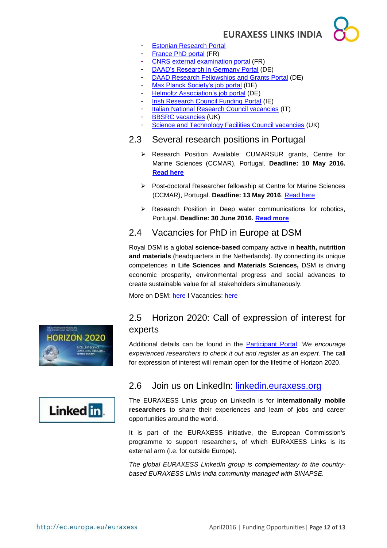

- [Estonian Research Portal](https://www.etis.ee/index.aspx?lang=en)
- [France PhD portal](http://www.phdinfrance.net/) (FR)
- [CNRS external examination portal](http://www.dgdr.cnrs.fr/drhchercheurs/concoursch/default-en.htm) (FR)
- [DAAD's Research in Germany Portal](http://www.research-in-germany.de/dachportal/en.html) (DE)
- [DAAD Research Fellowships and Grants Portal](https://www.daad.de/deutschland/stipendium/datenbank/en/21148-%20scholarship-database/) (DE)
- [Max Planck Society's job portal](http://www.mpg.de/jobboard) (DE)
- [Helmoltz Association's job portal](http://www.helmholtz.de/en/working_at_helmholtz/job_vacancies/) (DE)
- [Irish Research Council Funding Portal](http://www.research.ie/funding-opportunities) (IE)
- [Italian National Research Council vacancies](http://www.eitictlabs.eu/nc/about-us/vacancies/) (IT)
- [BBSRC vacancies](http://www.bbsrc.ac.uk/organisation/vacancies.aspxh) (UK)
- [Science and Technology Facilities Council vacancies](http://www.topcareer.jobs/) (UK)

#### <span id="page-11-0"></span>2.3 Several research positions in Portugal

- Research Position Available: CUMARSUR grants, Centre for Marine Sciences (CCMAR), Portugal. **Deadline: 10 May 2016. [Read here](http://ec.europa.eu/euraxess/index.cfm/links/singleNews/54533)**
- Post-doctoral Researcher fellowship at Centre for Marine Sciences (CCMAR), Portugal. **Deadline: 13 May 2016**. [Read here](http://ec.europa.eu/euraxess/index.cfm/links/singleNews/54531)
- $\triangleright$  Research Position in Deep water communications for robotics, Portugal. **Deadline: 30 June 2016. [Read more](http://ec.europa.eu/euraxess/index.cfm/links/singleNews/54532)**

## <span id="page-11-1"></span>2.4 Vacancies for PhD in Europe at DSM

Royal DSM is a global **science-based** company active in **health, nutrition and materials** (headquarters in the Netherlands). By connecting its unique competences in **Life Sciences and Materials Sciences,** DSM is driving economic prosperity, environmental progress and social advances to create sustainable value for all stakeholders simultaneously.

More on DSM: [here](http://www.dsm.com/corporate/home.html) **I** Vacancies: [here](http://www.dsm.com/corporate/careers/vacancies/dsmvacancies.html)



## <span id="page-11-2"></span>2.5 Horizon 2020: Call of expression of interest for experts

Additional details can be found in the [Participant Portal.](http://ec.europa.eu/research/participants/portal/desktop/en/experts/index.html) *We encourage experienced researchers to check it out and register as an expert.* The call for expression of interest will remain open for the lifetime of Horizon 2020.



## <span id="page-11-3"></span>2.6 Join us on LinkedIn: [linkedin.euraxess.org](http://www.linkedin.com/groups/EURAXESS-Links-Internationally-Mobile-Researchers-4990889/about)

The EURAXESS Links group on LinkedIn is for **internationally mobile researchers** to share their experiences and learn of jobs and career opportunities around the world.

It is part of the EURAXESS initiative, the European Commission's programme to support researchers, of which EURAXESS Links is its external arm (i.e. for outside Europe).

*The global EURAXESS LinkedIn group is complementary to the countrybased EURAXESS Links India community managed with SINAPSE.*